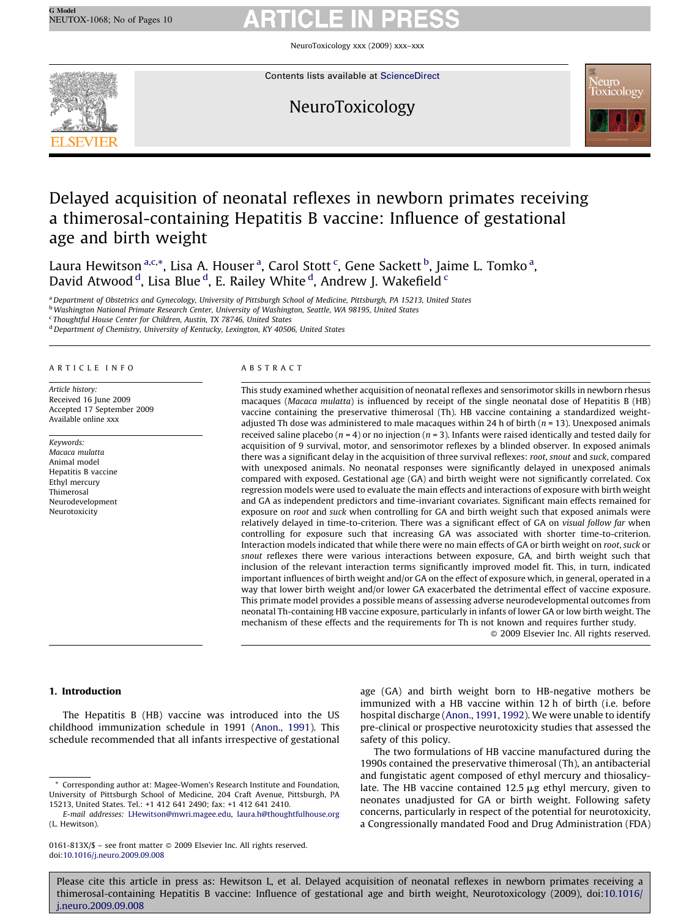NeuroToxicology xxx (2009) xxx–xxx



Contents lists available at [ScienceDirect](http://www.sciencedirect.com/science/journal/0161813X)

# NeuroToxicology



# Delayed acquisition of neonatal reflexes in newborn primates receiving a thimerosal-containing Hepatitis B vaccine: Influence of gestational age and birth weight

Laura Hewitson <sup>a,c,\*</sup>, Lisa A. Houser <sup>a</sup>, Carol Stott <sup>c</sup>, Gene Sackett <sup>b</sup>, Jaime L. Tomko <sup>a</sup>, David Atwood <sup>d</sup>, Lisa Blue <sup>d</sup>, E. Railey White <sup>d</sup>, Andrew J. Wakefield <sup>c</sup>

a Department of Obstetrics and Gynecology, University of Pittsburgh School of Medicine, Pittsburgh, PA 15213, United States

b Washington National Primate Research Center, University of Washington, Seattle, WA 98195, United States

<sup>c</sup> Thoughtful House Center for Children, Austin, TX 78746, United States

<sup>d</sup> Department of Chemistry, University of Kentucky, Lexington, KY 40506, United States

### ARTICLE INFO

Article history: Received 16 June 2009 Accepted 17 September 2009 Available online xxx

Keywords: Macaca mulatta Animal model Hepatitis B vaccine Ethyl mercury Thimerosal Neurodevelopment Neurotoxicity

### ABSTRACT

This study examined whether acquisition of neonatal reflexes and sensorimotor skills in newborn rhesus macaques (Macaca mulatta) is influenced by receipt of the single neonatal dose of Hepatitis B (HB) vaccine containing the preservative thimerosal (Th). HB vaccine containing a standardized weightadjusted Th dose was administered to male macaques within 24 h of birth ( $n = 13$ ). Unexposed animals received saline placebo ( $n = 4$ ) or no injection ( $n = 3$ ). Infants were raised identically and tested daily for acquisition of 9 survival, motor, and sensorimotor reflexes by a blinded observer. In exposed animals there was a significant delay in the acquisition of three survival reflexes: root, snout and suck, compared with unexposed animals. No neonatal responses were significantly delayed in unexposed animals compared with exposed. Gestational age (GA) and birth weight were not significantly correlated. Cox regression models were used to evaluate the main effects and interactions of exposure with birth weight and GA as independent predictors and time-invariant covariates. Significant main effects remained for exposure on root and suck when controlling for GA and birth weight such that exposed animals were relatively delayed in time-to-criterion. There was a significant effect of GA on visual follow far when controlling for exposure such that increasing GA was associated with shorter time-to-criterion. Interaction models indicated that while there were no main effects of GA or birth weight on root, suck or snout reflexes there were various interactions between exposure, GA, and birth weight such that inclusion of the relevant interaction terms significantly improved model fit. This, in turn, indicated important influences of birth weight and/or GA on the effect of exposure which, in general, operated in a way that lower birth weight and/or lower GA exacerbated the detrimental effect of vaccine exposure. This primate model provides a possible means of assessing adverse neurodevelopmental outcomes from neonatal Th-containing HB vaccine exposure, particularly in infants of lower GA or low birth weight. The mechanism of these effects and the requirements for Th is not known and requires further study.

 $\odot$  2009 Elsevier Inc. All rights reserved.

### 1. Introduction

The Hepatitis B (HB) vaccine was introduced into the US childhood immunization schedule in 1991 ([Anon., 1991](#page-8-0)). This schedule recommended that all infants irrespective of gestational

\* Corresponding author at: Magee-Women's Research Institute and Foundation, University of Pittsburgh School of Medicine, 204 Craft Avenue, Pittsburgh, PA 15213, United States. Tel.: +1 412 641 2490; fax: +1 412 641 2410.

age (GA) and birth weight born to HB-negative mothers be immunized with a HB vaccine within 12 h of birth (i.e. before hospital discharge [\(Anon., 1991, 1992](#page-8-0)). We were unable to identify pre-clinical or prospective neurotoxicity studies that assessed the safety of this policy.

The two formulations of HB vaccine manufactured during the 1990s contained the preservative thimerosal (Th), an antibacterial and fungistatic agent composed of ethyl mercury and thiosalicylate. The HB vaccine contained  $12.5 \mu g$  ethyl mercury, given to neonates unadjusted for GA or birth weight. Following safety concerns, particularly in respect of the potential for neurotoxicity, a Congressionally mandated Food and Drug Administration (FDA)

E-mail addresses: [LHewitson@mwri.magee.edu,](mailto:LHewitson@mwri.magee.edu) [laura.h@thoughtfulhouse.org](mailto:laura.h@thoughtfulhouse.org) (L. Hewitson).

<sup>0161-813</sup>X/\$ – see front matter © 2009 Elsevier Inc. All rights reserved. doi:[10.1016/j.neuro.2009.09.008](http://dx.doi.org/10.1016/j.neuro.2009.09.008)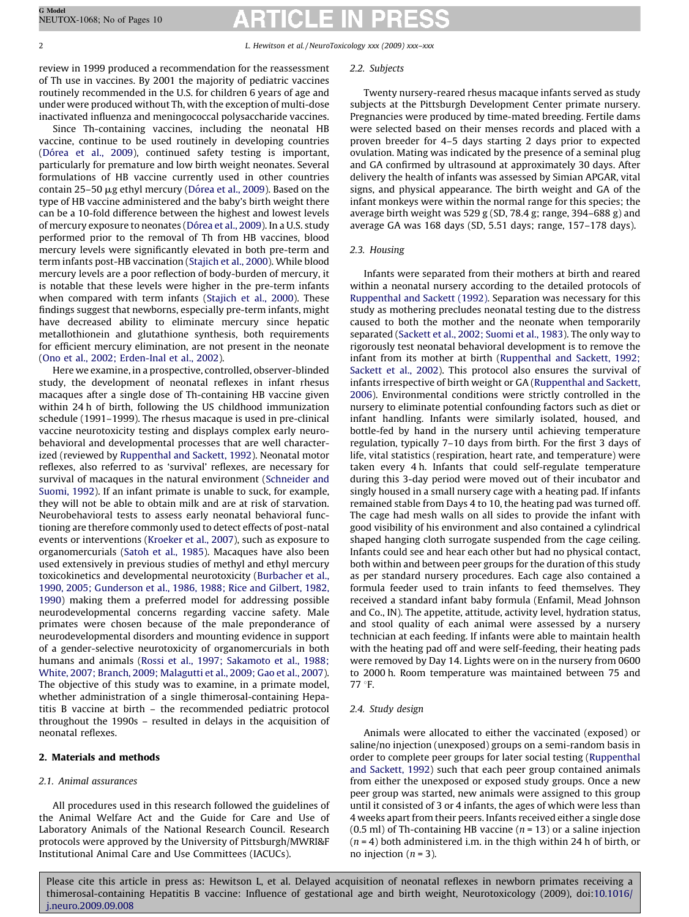review in 1999 produced a recommendation for the reassessment of Th use in vaccines. By 2001 the majority of pediatric vaccines routinely recommended in the U.S. for children 6 years of age and under were produced without Th, with the exception of multi-dose inactivated influenza and meningococcal polysaccharide vaccines.

Since Th-containing vaccines, including the neonatal HB vaccine, continue to be used routinely in developing countries (Dó[rea et al., 2009](#page-8-0)), continued safety testing is important, particularly for premature and low birth weight neonates. Several formulations of HB vaccine currently used in other countries contain 25-50  $\mu$ g ethyl mercury (Dó[rea et al., 2009](#page-8-0)). Based on the type of HB vaccine administered and the baby's birth weight there can be a 10-fold difference between the highest and lowest levels of mercury exposure to neonates (Dó[rea et al., 2009\)](#page-8-0). In a U.S. study performed prior to the removal of Th from HB vaccines, blood mercury levels were significantly elevated in both pre-term and term infants post-HB vaccination ([Stajich et al., 2000\)](#page-9-0). While blood mercury levels are a poor reflection of body-burden of mercury, it is notable that these levels were higher in the pre-term infants when compared with term infants ([Stajich et al., 2000\)](#page-9-0). These findings suggest that newborns, especially pre-term infants, might have decreased ability to eliminate mercury since hepatic metallothionein and glutathione synthesis, both requirements for efficient mercury elimination, are not present in the neonate ([Ono et al., 2002; Erden-Inal et al., 2002](#page-8-0)).

Here we examine, in a prospective, controlled, observer-blinded study, the development of neonatal reflexes in infant rhesus macaques after a single dose of Th-containing HB vaccine given within 24 h of birth, following the US childhood immunization schedule (1991–1999). The rhesus macaque is used in pre-clinical vaccine neurotoxicity testing and displays complex early neurobehavioral and developmental processes that are well characterized (reviewed by [Ruppenthal and Sackett, 1992\)](#page-8-0). Neonatal motor reflexes, also referred to as 'survival' reflexes, are necessary for survival of macaques in the natural environment ([Schneider and](#page-9-0) [Suomi, 1992\)](#page-9-0). If an infant primate is unable to suck, for example, they will not be able to obtain milk and are at risk of starvation. Neurobehavioral tests to assess early neonatal behavioral functioning are therefore commonly used to detect effects of post-natal events or interventions ([Kroeker et al., 2007](#page-8-0)), such as exposure to organomercurials [\(Satoh et al., 1985](#page-9-0)). Macaques have also been used extensively in previous studies of methyl and ethyl mercury toxicokinetics and developmental neurotoxicity [\(Burbacher et al.,](#page-8-0) [1990, 2005; Gunderson et al., 1986, 1988; Rice and Gilbert, 1982,](#page-8-0) [1990\)](#page-8-0) making them a preferred model for addressing possible neurodevelopmental concerns regarding vaccine safety. Male primates were chosen because of the male preponderance of neurodevelopmental disorders and mounting evidence in support of a gender-selective neurotoxicity of organomercurials in both humans and animals [\(Rossi et al., 1997; Sakamoto et al., 1988;](#page-8-0) [White, 2007; Branch, 2009; Malagutti et al., 2009; Gao et al., 2007\)](#page-8-0). The objective of this study was to examine, in a primate model, whether administration of a single thimerosal-containing Hepatitis B vaccine at birth – the recommended pediatric protocol throughout the 1990s – resulted in delays in the acquisition of neonatal reflexes.

## 2. Materials and methods

## 2.1. Animal assurances

All procedures used in this research followed the guidelines of the Animal Welfare Act and the Guide for Care and Use of Laboratory Animals of the National Research Council. Research protocols were approved by the University of Pittsburgh/MWRI&F Institutional Animal Care and Use Committees (IACUCs).

### 2.2. Subjects

Twenty nursery-reared rhesus macaque infants served as study subjects at the Pittsburgh Development Center primate nursery. Pregnancies were produced by time-mated breeding. Fertile dams were selected based on their menses records and placed with a proven breeder for 4–5 days starting 2 days prior to expected ovulation. Mating was indicated by the presence of a seminal plug and GA confirmed by ultrasound at approximately 30 days. After delivery the health of infants was assessed by Simian APGAR, vital signs, and physical appearance. The birth weight and GA of the infant monkeys were within the normal range for this species; the average birth weight was 529 g (SD, 78.4 g; range, 394–688 g) and average GA was 168 days (SD, 5.51 days; range, 157–178 days).

## 2.3. Housing

Infants were separated from their mothers at birth and reared within a neonatal nursery according to the detailed protocols of [Ruppenthal and Sackett \(1992\)](#page-8-0). Separation was necessary for this study as mothering precludes neonatal testing due to the distress caused to both the mother and the neonate when temporarily separated ([Sackett et al., 2002; Suomi et al., 1983](#page-9-0)). The only way to rigorously test neonatal behavioral development is to remove the infant from its mother at birth ([Ruppenthal and Sackett, 1992;](#page-8-0) [Sackett et al., 2002](#page-8-0)). This protocol also ensures the survival of infants irrespective of birth weight or GA [\(Ruppenthal and Sackett,](#page-8-0) [2006\)](#page-8-0). Environmental conditions were strictly controlled in the nursery to eliminate potential confounding factors such as diet or infant handling. Infants were similarly isolated, housed, and bottle-fed by hand in the nursery until achieving temperature regulation, typically 7–10 days from birth. For the first 3 days of life, vital statistics (respiration, heart rate, and temperature) were taken every 4 h. Infants that could self-regulate temperature during this 3-day period were moved out of their incubator and singly housed in a small nursery cage with a heating pad. If infants remained stable from Days 4 to 10, the heating pad was turned off. The cage had mesh walls on all sides to provide the infant with good visibility of his environment and also contained a cylindrical shaped hanging cloth surrogate suspended from the cage ceiling. Infants could see and hear each other but had no physical contact, both within and between peer groups for the duration of this study as per standard nursery procedures. Each cage also contained a formula feeder used to train infants to feed themselves. They received a standard infant baby formula (Enfamil, Mead Johnson and Co., IN). The appetite, attitude, activity level, hydration status, and stool quality of each animal were assessed by a nursery technician at each feeding. If infants were able to maintain health with the heating pad off and were self-feeding, their heating pads were removed by Day 14. Lights were on in the nursery from 0600 to 2000 h. Room temperature was maintained between 75 and 77 °F.

## 2.4. Study design

Animals were allocated to either the vaccinated (exposed) or saline/no injection (unexposed) groups on a semi-random basis in order to complete peer groups for later social testing ([Ruppenthal](#page-8-0) [and Sackett, 1992\)](#page-8-0) such that each peer group contained animals from either the unexposed or exposed study groups. Once a new peer group was started, new animals were assigned to this group until it consisted of 3 or 4 infants, the ages of which were less than 4 weeks apart from their peers. Infants received either a single dose  $(0.5$  ml) of Th-containing HB vaccine  $(n = 13)$  or a saline injection  $(n = 4)$  both administered i.m. in the thigh within 24 h of birth, or no injection  $(n = 3)$ .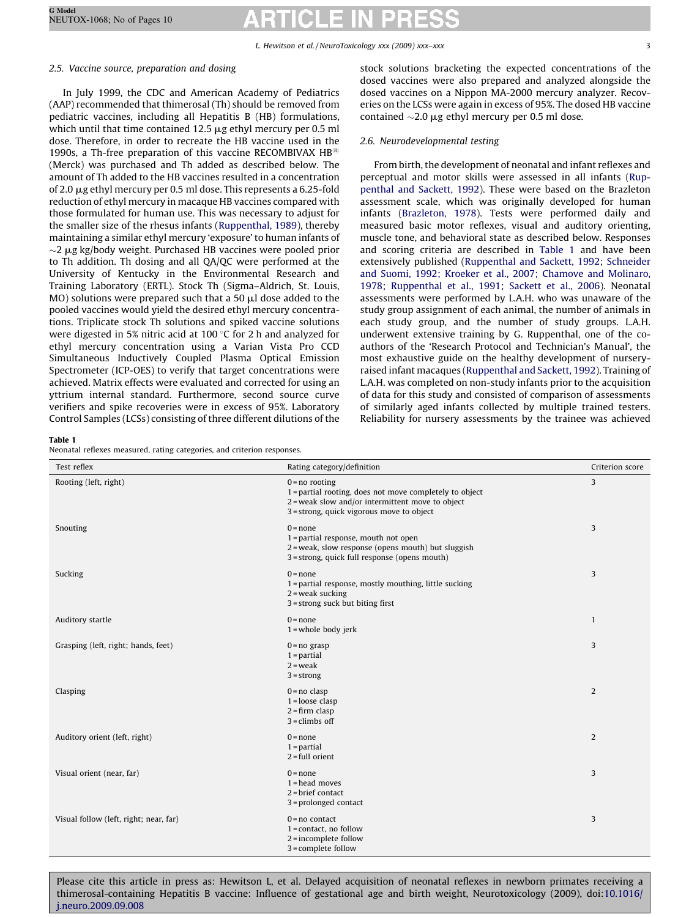## <span id="page-2-0"></span>2.5. Vaccine source, preparation and dosing

In July 1999, the CDC and American Academy of Pediatrics (AAP) recommended that thimerosal (Th) should be removed from pediatric vaccines, including all Hepatitis B (HB) formulations, which until that time contained 12.5  $\mu$ g ethyl mercury per 0.5 ml dose. Therefore, in order to recreate the HB vaccine used in the 1990s, a Th-free preparation of this vaccine RECOMBIVAX  $HB^{\circledR}$ (Merck) was purchased and Th added as described below. The amount of Th added to the HB vaccines resulted in a concentration of 2.0 mg ethyl mercury per 0.5 ml dose. This represents a 6.25-fold reduction of ethyl mercury in macaque HB vaccines compared with those formulated for human use. This was necessary to adjust for the smaller size of the rhesus infants [\(Ruppenthal, 1989\)](#page-8-0), thereby maintaining a similar ethyl mercury 'exposure' to human infants of  $\sim$ 2  $\mu$ g kg/body weight. Purchased HB vaccines were pooled prior to Th addition. Th dosing and all QA/QC were performed at the University of Kentucky in the Environmental Research and Training Laboratory (ERTL). Stock Th (Sigma–Aldrich, St. Louis,  $MO$ ) solutions were prepared such that a 50  $\mu$ l dose added to the pooled vaccines would yield the desired ethyl mercury concentrations. Triplicate stock Th solutions and spiked vaccine solutions were digested in 5% nitric acid at 100  $\degree$ C for 2 h and analyzed for ethyl mercury concentration using a Varian Vista Pro CCD Simultaneous Inductively Coupled Plasma Optical Emission Spectrometer (ICP-OES) to verify that target concentrations were achieved. Matrix effects were evaluated and corrected for using an yttrium internal standard. Furthermore, second source curve verifiers and spike recoveries were in excess of 95%. Laboratory Control Samples (LCSs) consisting of three different dilutions of the

stock solutions bracketing the expected concentrations of the dosed vaccines were also prepared and analyzed alongside the dosed vaccines on a Nippon MA-2000 mercury analyzer. Recoveries on the LCSs were again in excess of 95%. The dosed HB vaccine contained  $\sim$ 2.0  $\mu$ g ethyl mercury per 0.5 ml dose.

## 2.6. Neurodevelopmental testing

From birth, the development of neonatal and infant reflexes and perceptual and motor skills were assessed in all infants [\(Rup](#page-8-0)[penthal and Sackett, 1992](#page-8-0)). These were based on the Brazleton assessment scale, which was originally developed for human infants ([Brazleton, 1978](#page-8-0)). Tests were performed daily and measured basic motor reflexes, visual and auditory orienting, muscle tone, and behavioral state as described below. Responses and scoring criteria are described in Table 1 and have been extensively published ([Ruppenthal and Sackett, 1992; Schneider](#page-8-0) [and Suomi, 1992; Kroeker et al., 2007; Chamove and Molinaro,](#page-8-0) [1978; Ruppenthal et al., 1991; Sackett et al., 2006\)](#page-8-0). Neonatal assessments were performed by L.A.H. who was unaware of the study group assignment of each animal, the number of animals in each study group, and the number of study groups. L.A.H. underwent extensive training by G. Ruppenthal, one of the coauthors of the 'Research Protocol and Technician's Manual', the most exhaustive guide on the healthy development of nurseryraised infant macaques [\(Ruppenthal and Sackett, 1992](#page-8-0)). Training of L.A.H. was completed on non-study infants prior to the acquisition of data for this study and consisted of comparison of assessments of similarly aged infants collected by multiple trained testers. Reliability for nursery assessments by the trainee was achieved

### Table 1

Neonatal reflexes measured, rating categories, and criterion responses.

| Test reflex                            | Rating category/definition                                                                                                                                                     | Criterion score |
|----------------------------------------|--------------------------------------------------------------------------------------------------------------------------------------------------------------------------------|-----------------|
| Rooting (left, right)                  | $0 = no$ rooting<br>1 = partial rooting, does not move completely to object<br>$2$ = weak slow and/or intermittent move to object<br>3 = strong, quick vigorous move to object | 3               |
| Snouting                               | $0 = none$<br>1 = partial response, mouth not open<br>2 = weak, slow response (opens mouth) but sluggish<br>3 = strong, quick full response (opens mouth)                      | 3               |
| Sucking                                | $0 = none$<br>1 = partial response, mostly mouthing, little sucking<br>$2$ = weak sucking<br>3 = strong suck but biting first                                                  | 3               |
| Auditory startle                       | $0 = none$<br>$1$ = whole body jerk                                                                                                                                            | $\mathbf{1}$    |
| Grasping (left, right; hands, feet)    | $0 = no$ grasp<br>$1 =$ partial<br>$2 =$ weak<br>$3 =$ strong                                                                                                                  | 3               |
| Clasping                               | $0 = no \text{ clasp}$<br>$1 =$ loose clasp<br>$2 = firm \text{ clasp}$<br>$3 =$ climbs off                                                                                    | $\overline{2}$  |
| Auditory orient (left, right)          | $0 = none$<br>$1 =$ partial<br>$2 = full$ orient                                                                                                                               | 2               |
| Visual orient (near, far)              | $0 = none$<br>$1 = head$ moves<br>$2 = brief contact$<br>3 = prolonged contact                                                                                                 | 3               |
| Visual follow (left, right; near, far) | $0 = no$ contact<br>$1 = \text{contact}$ , no follow<br>$2 =$ incomplete follow<br>3 = complete follow                                                                         | 3               |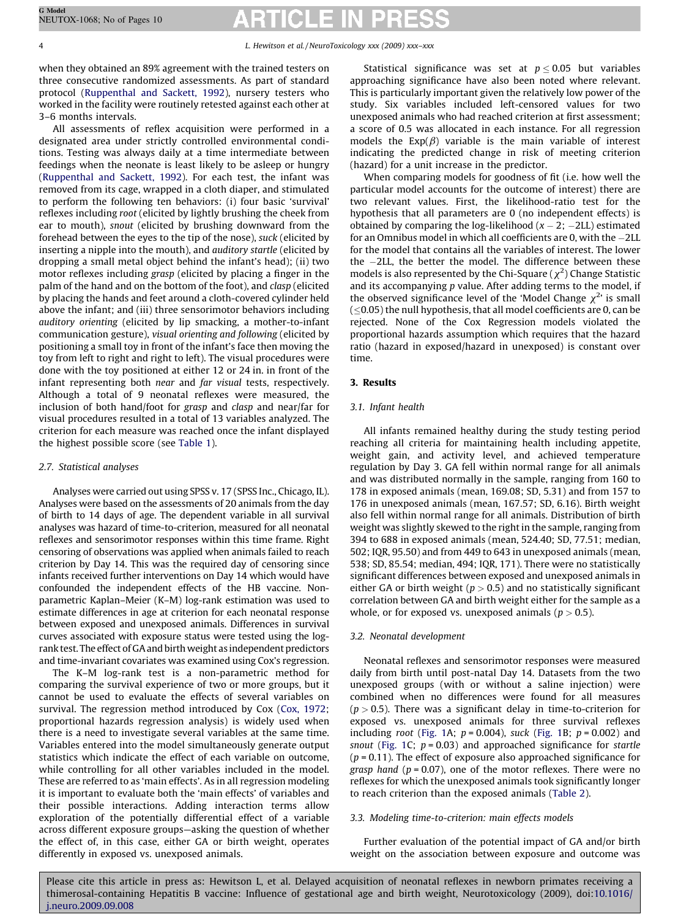when they obtained an 89% agreement with the trained testers on three consecutive randomized assessments. As part of standard protocol [\(Ruppenthal and Sackett, 1992](#page-8-0)), nursery testers who worked in the facility were routinely retested against each other at 3–6 months intervals.

All assessments of reflex acquisition were performed in a designated area under strictly controlled environmental conditions. Testing was always daily at a time intermediate between feedings when the neonate is least likely to be asleep or hungry ([Ruppenthal and Sackett, 1992](#page-8-0)). For each test, the infant was removed from its cage, wrapped in a cloth diaper, and stimulated to perform the following ten behaviors: (i) four basic 'survival' reflexes including root (elicited by lightly brushing the cheek from ear to mouth), snout (elicited by brushing downward from the forehead between the eyes to the tip of the nose), suck (elicited by inserting a nipple into the mouth), and auditory startle (elicited by dropping a small metal object behind the infant's head); (ii) two motor reflexes including grasp (elicited by placing a finger in the palm of the hand and on the bottom of the foot), and clasp (elicited by placing the hands and feet around a cloth-covered cylinder held above the infant; and (iii) three sensorimotor behaviors including auditory orienting (elicited by lip smacking, a mother-to-infant communication gesture), visual orienting and following (elicited by positioning a small toy in front of the infant's face then moving the toy from left to right and right to left). The visual procedures were done with the toy positioned at either 12 or 24 in. in front of the infant representing both near and far visual tests, respectively. Although a total of 9 neonatal reflexes were measured, the inclusion of both hand/foot for grasp and clasp and near/far for visual procedures resulted in a total of 13 variables analyzed. The criterion for each measure was reached once the infant displayed the highest possible score (see [Table 1\)](#page-2-0).

## 2.7. Statistical analyses

Analyses were carried out using SPSS v. 17 (SPSS Inc., Chicago, IL). Analyses were based on the assessments of 20 animals from the day of birth to 14 days of age. The dependent variable in all survival analyses was hazard of time-to-criterion, measured for all neonatal reflexes and sensorimotor responses within this time frame. Right censoring of observations was applied when animals failed to reach criterion by Day 14. This was the required day of censoring since infants received further interventions on Day 14 which would have confounded the independent effects of the HB vaccine. Nonparametric Kaplan–Meier (K–M) log-rank estimation was used to estimate differences in age at criterion for each neonatal response between exposed and unexposed animals. Differences in survival curves associated with exposure status were tested using the logrank test. The effect of GA and birth weight as independent predictors and time-invariant covariates was examined using Cox's regression.

The K–M log-rank test is a non-parametric method for comparing the survival experience of two or more groups, but it cannot be used to evaluate the effects of several variables on survival. The regression method introduced by Cox ([Cox, 1972;](#page-8-0) proportional hazards regression analysis) is widely used when there is a need to investigate several variables at the same time. Variables entered into the model simultaneously generate output statistics which indicate the effect of each variable on outcome, while controlling for all other variables included in the model. These are referred to as 'main effects'. As in all regression modeling it is important to evaluate both the 'main effects' of variables and their possible interactions. Adding interaction terms allow exploration of the potentially differential effect of a variable across different exposure groups—asking the question of whether the effect of, in this case, either GA or birth weight, operates differently in exposed vs. unexposed animals.

Statistical significance was set at  $p \leq 0.05$  but variables approaching significance have also been noted where relevant. This is particularly important given the relatively low power of the study. Six variables included left-censored values for two unexposed animals who had reached criterion at first assessment; a score of 0.5 was allocated in each instance. For all regression models the  $Exp(\beta)$  variable is the main variable of interest indicating the predicted change in risk of meeting criterion (hazard) for a unit increase in the predictor.

When comparing models for goodness of fit (i.e. how well the particular model accounts for the outcome of interest) there are two relevant values. First, the likelihood-ratio test for the hypothesis that all parameters are 0 (no independent effects) is obtained by comparing the log-likelihood  $(x - 2, -2LL)$  estimated for an Omnibus model in which all coefficients are 0, with the  $-2LL$ for the model that contains all the variables of interest. The lower the  $-2LL$ , the better the model. The difference between these models is also represented by the Chi-Square ( $\chi^2$ ) Change Statistic and its accompanying  $p$  value. After adding terms to the model, if the observed significance level of the 'Model Change  $\chi^2$ ' is small  $(<$  0.05) the null hypothesis, that all model coefficients are 0, can be rejected. None of the Cox Regression models violated the proportional hazards assumption which requires that the hazard ratio (hazard in exposed/hazard in unexposed) is constant over time.

## 3. Results

### 3.1. Infant health

All infants remained healthy during the study testing period reaching all criteria for maintaining health including appetite, weight gain, and activity level, and achieved temperature regulation by Day 3. GA fell within normal range for all animals and was distributed normally in the sample, ranging from 160 to 178 in exposed animals (mean, 169.08; SD, 5.31) and from 157 to 176 in unexposed animals (mean, 167.57; SD, 6.16). Birth weight also fell within normal range for all animals. Distribution of birth weight was slightly skewed to the right in the sample, ranging from 394 to 688 in exposed animals (mean, 524.40; SD, 77.51; median, 502; IQR, 95.50) and from 449 to 643 in unexposed animals (mean, 538; SD, 85.54; median, 494; IQR, 171). There were no statistically significant differences between exposed and unexposed animals in either GA or birth weight ( $p > 0.5$ ) and no statistically significant correlation between GA and birth weight either for the sample as a whole, or for exposed vs. unexposed animals ( $p > 0.5$ ).

### 3.2. Neonatal development

Neonatal reflexes and sensorimotor responses were measured daily from birth until post-natal Day 14. Datasets from the two unexposed groups (with or without a saline injection) were combined when no differences were found for all measures  $(p > 0.5)$ . There was a significant delay in time-to-criterion for exposed vs. unexposed animals for three survival reflexes including root [\(Fig. 1](#page-4-0)A;  $p = 0.004$ ), suck ([Fig. 1B](#page-4-0);  $p = 0.002$ ) and snout ([Fig. 1C](#page-4-0);  $p = 0.03$ ) and approached significance for startle  $(p = 0.11)$ . The effect of exposure also approached significance for grasp hand ( $p = 0.07$ ), one of the motor reflexes. There were no reflexes for which the unexposed animals took significantly longer to reach criterion than the exposed animals ([Table 2](#page-5-0)).

### 3.3. Modeling time-to-criterion: main effects models

Further evaluation of the potential impact of GA and/or birth weight on the association between exposure and outcome was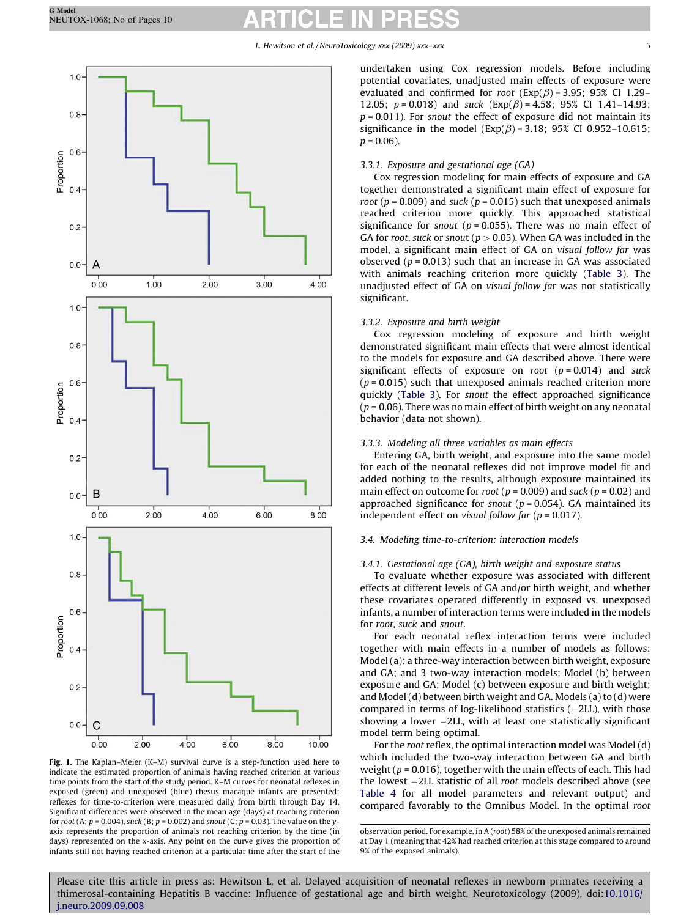<span id="page-4-0"></span>

Fig. 1. The Kaplan–Meier (K–M) survival curve is a step-function used here to indicate the estimated proportion of animals having reached criterion at various time points from the start of the study period. K–M curves for neonatal reflexes in exposed (green) and unexposed (blue) rhesus macaque infants are presented: reflexes for time-to-criterion were measured daily from birth through Day 14. Significant differences were observed in the mean age (days) at reaching criterion for root (A;  $p = 0.004$ ), suck (B;  $p = 0.002$ ) and snout (C;  $p = 0.03$ ). The value on the yaxis represents the proportion of animals not reaching criterion by the time (in days) represented on the x-axis. Any point on the curve gives the proportion of infants still not having reached criterion at a particular time after the start of the

undertaken using Cox regression models. Before including potential covariates, unadjusted main effects of exposure were evaluated and confirmed for root ( $Exp(\beta)$  = 3.95; 95% CI 1.29– 12.05;  $p = 0.018$ ) and suck  $(Exp(\beta) = 4.58; 95\% \text{ CI } 1.41-14.93;$  $p = 0.011$ ). For snout the effect of exposure did not maintain its significance in the model ( $Exp(\beta) = 3.18$ ; 95% CI 0.952-10.615;  $p = 0.06$ ).

## 3.3.1. Exposure and gestational age (GA)

Cox regression modeling for main effects of exposure and GA together demonstrated a significant main effect of exposure for root ( $p = 0.009$ ) and suck ( $p = 0.015$ ) such that unexposed animals reached criterion more quickly. This approached statistical significance for snout ( $p = 0.055$ ). There was no main effect of GA for root, suck or snout ( $p > 0.05$ ). When GA was included in the model, a significant main effect of GA on visual follow far was observed ( $p = 0.013$ ) such that an increase in GA was associated with animals reaching criterion more quickly ([Table 3](#page-5-0)). The unadjusted effect of GA on visual follow far was not statistically significant.

## 3.3.2. Exposure and birth weight

Cox regression modeling of exposure and birth weight demonstrated significant main effects that were almost identical to the models for exposure and GA described above. There were significant effects of exposure on root  $(p = 0.014)$  and suck  $(p = 0.015)$  such that unexposed animals reached criterion more quickly ([Table 3](#page-5-0)). For snout the effect approached significance  $(p = 0.06)$ . There was no main effect of birth weight on any neonatal behavior (data not shown).

## 3.3.3. Modeling all three variables as main effects

Entering GA, birth weight, and exposure into the same model for each of the neonatal reflexes did not improve model fit and added nothing to the results, although exposure maintained its main effect on outcome for root ( $p = 0.009$ ) and suck ( $p = 0.02$ ) and approached significance for snout ( $p = 0.054$ ). GA maintained its independent effect on visual follow far ( $p = 0.017$ ).

## 3.4. Modeling time-to-criterion: interaction models

## 3.4.1. Gestational age (GA), birth weight and exposure status

To evaluate whether exposure was associated with different effects at different levels of GA and/or birth weight, and whether these covariates operated differently in exposed vs. unexposed infants, a number of interaction terms were included in the models for root, suck and snout.

For each neonatal reflex interaction terms were included together with main effects in a number of models as follows: Model (a): a three-way interaction between birth weight, exposure and GA; and 3 two-way interaction models: Model (b) between exposure and GA; Model (c) between exposure and birth weight; and Model (d) between birth weight and GA. Models (a) to (d) were compared in terms of log-likelihood statistics  $(-2LL)$ , with those showing a lower  $-2LL$ , with at least one statistically significant model term being optimal.

For the root reflex, the optimal interaction model was Model (d) which included the two-way interaction between GA and birth weight ( $p = 0.016$ ), together with the main effects of each. This had the lowest  $-2LL$  statistic of all root models described above (see [Table 4](#page-6-0) for all model parameters and relevant output) and compared favorably to the Omnibus Model. In the optimal root

observation period. For example, in A (root) 58% of the unexposed animals remained at Day 1 (meaning that 42% had reached criterion at this stage compared to around 9% of the exposed animals).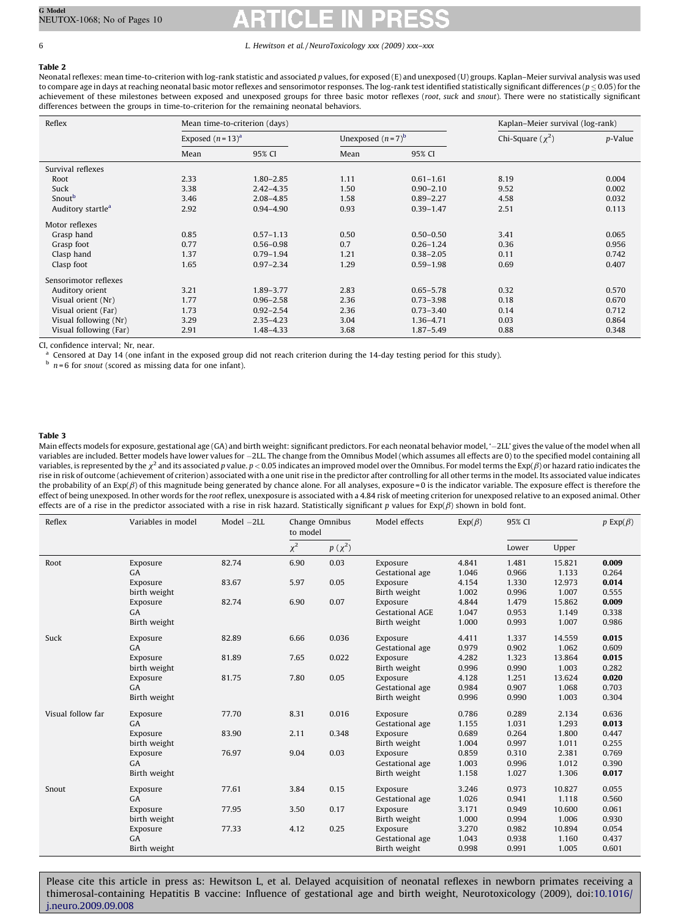<span id="page-5-0"></span>Table 2

Neonatal reflexes: mean time-to-criterion with log-rank statistic and associated p values, for exposed (E) and unexposed (U) groups. Kaplan–Meier survival analysis was used to compare age in days at reaching neonatal basic motor reflexes and sensorimotor responses. The log-rank test identified statistically significant differences ( $p \le 0.05$ ) for the achievement of these milestones between exposed and unexposed groups for three basic motor reflexes (root, suck and snout). There were no statistically significant differences between the groups in time-to-criterion for the remaining neonatal behaviors.

| Reflex                        |                    | Mean time-to-criterion (days) | Kaplan-Meier survival (log-rank) |               |                       |         |
|-------------------------------|--------------------|-------------------------------|----------------------------------|---------------|-----------------------|---------|
|                               | Exposed $(n=13)^a$ |                               | Unexposed $(n=7)^b$              |               | Chi-Square $(\chi^2)$ | p-Value |
|                               | Mean               | 95% CI                        | Mean                             | 95% CI        |                       |         |
| Survival reflexes             |                    |                               |                                  |               |                       |         |
| Root                          | 2.33               | $1.80 - 2.85$                 | 1.11                             | $0.61 - 1.61$ | 8.19                  | 0.004   |
| Suck                          | 3.38               | $2.42 - 4.35$                 | 1.50                             | $0.90 - 2.10$ | 9.52                  | 0.002   |
| Snout <sup>b</sup>            | 3.46               | $2.08 - 4.85$                 | 1.58                             | $0.89 - 2.27$ | 4.58                  | 0.032   |
| Auditory startle <sup>a</sup> | 2.92               | $0.94 - 4.90$                 | 0.93                             | $0.39 - 1.47$ | 2.51                  | 0.113   |
| Motor reflexes                |                    |                               |                                  |               |                       |         |
| Grasp hand                    | 0.85               | $0.57 - 1.13$                 | 0.50                             | $0.50 - 0.50$ | 3.41                  | 0.065   |
| Grasp foot                    | 0.77               | $0.56 - 0.98$                 | 0.7                              | $0.26 - 1.24$ | 0.36                  | 0.956   |
| Clasp hand                    | 1.37               | $0.79 - 1.94$                 | 1.21                             | $0.38 - 2.05$ | 0.11                  | 0.742   |
| Clasp foot                    | 1.65               | $0.97 - 2.34$                 | 1.29                             | $0.59 - 1.98$ | 0.69                  | 0.407   |
| Sensorimotor reflexes         |                    |                               |                                  |               |                       |         |
| Auditory orient               | 3.21               | 1.89 - 3.77                   | 2.83                             | $0.65 - 5.78$ | 0.32                  | 0.570   |
| Visual orient (Nr)            | 1.77               | $0.96 - 2.58$                 | 2.36                             | $0.73 - 3.98$ | 0.18                  | 0.670   |
| Visual orient (Far)           | 1.73               | $0.92 - 2.54$                 | 2.36                             | $0.73 - 3.40$ | 0.14                  | 0.712   |
| Visual following (Nr)         | 3.29               | $2.35 - 4.23$                 | 3.04                             | 1.36-4.71     | 0.03                  | 0.864   |
| Visual following (Far)        | 2.91               | 1.48-4.33                     | 3.68                             | $1.87 - 5.49$ | 0.88                  | 0.348   |

CI, confidence interval; Nr, near.

<sup>a</sup> Censored at Day 14 (one infant in the exposed group did not reach criterion during the 14-day testing period for this study).

 $h$   $n = 6$  for snout (scored as missing data for one infant).

### Table 3

Main effects models for exposure, gestational age (GA) and birth weight: significant predictors. For each neonatal behavior model, '-2LL' gives the value of the model when all variables are included. Better models have lower values for -2LL. The change from the Omnibus Model (which assumes all effects are 0) to the specified model containing all variables, is represented by the  $\chi^2$  and its associated p value.  $p < 0.05$  indicates an improved model over the Omnibus. For model terms the Exp( $\beta$ ) or hazard ratio indicates the rise in risk of outcome (achievement of criterion) associated with a one unit rise in the predictor after controlling for all other terms in the model. Its associated value indicates the probability of an  $Exp(\beta)$  of this magnitude being generated by chance alone. For all analyses, exposure = 0 is the indicator variable. The exposure effect is therefore the effect of being unexposed. In other words for the root reflex, unexposure is associated with a 4.84 risk of meeting criterion for unexposed relative to an exposed animal. Other effects are of a rise in the predictor associated with a rise in risk hazard. Statistically significant p values for  $Exp(\beta)$  shown in bold font.

| Reflex            | Variables in model | $Model -2LL$ | to model | Model effects<br>Change Omnibus |                        | $Exp(\beta)$ | 95% CI |        | $p \operatorname{Exp}(\beta)$ |
|-------------------|--------------------|--------------|----------|---------------------------------|------------------------|--------------|--------|--------|-------------------------------|
|                   |                    |              | $\chi^2$ | $p\left(\chi^2\right)$          |                        |              | Lower  | Upper  |                               |
| Root              | Exposure           | 82.74        | 6.90     | 0.03                            | Exposure               | 4.841        | 1.481  | 15.821 | 0.009                         |
|                   | GA                 |              |          |                                 | Gestational age        | 1.046        | 0.966  | 1.133  | 0.264                         |
|                   | Exposure           | 83.67        | 5.97     | 0.05                            | Exposure               | 4.154        | 1.330  | 12.973 | 0.014                         |
|                   | birth weight       |              |          |                                 | Birth weight           | 1.002        | 0.996  | 1.007  | 0.555                         |
|                   | Exposure           | 82.74        | 6.90     | 0.07                            | Exposure               | 4.844        | 1.479  | 15.862 | 0.009                         |
|                   | GA                 |              |          |                                 | <b>Gestational AGE</b> | 1.047        | 0.953  | 1.149  | 0.338                         |
|                   | Birth weight       |              |          |                                 | Birth weight           | 1.000        | 0.993  | 1.007  | 0.986                         |
| Suck              | Exposure           | 82.89        | 6.66     | 0.036                           | Exposure               | 4.411        | 1.337  | 14.559 | 0.015                         |
|                   | GA                 |              |          |                                 | Gestational age        | 0.979        | 0.902  | 1.062  | 0.609                         |
|                   | Exposure           | 81.89        | 7.65     | 0.022                           | Exposure               | 4.282        | 1.323  | 13.864 | 0.015                         |
|                   | birth weight       |              |          |                                 | Birth weight           | 0.996        | 0.990  | 1.003  | 0.282                         |
|                   | Exposure           | 81.75        | 7.80     | 0.05                            | Exposure               | 4.128        | 1.251  | 13.624 | 0.020                         |
|                   | GA                 |              |          |                                 | Gestational age        | 0.984        | 0.907  | 1.068  | 0.703                         |
|                   | Birth weight       |              |          |                                 | Birth weight           | 0.996        | 0.990  | 1.003  | 0.304                         |
| Visual follow far | Exposure           | 77.70        | 8.31     | 0.016                           | Exposure               | 0.786        | 0.289  | 2.134  | 0.636                         |
|                   | GA                 |              |          |                                 | Gestational age        | 1.155        | 1.031  | 1.293  | 0.013                         |
|                   | Exposure           | 83.90        | 2.11     | 0.348                           | Exposure               | 0.689        | 0.264  | 1.800  | 0.447                         |
|                   | birth weight       |              |          |                                 | Birth weight           | 1.004        | 0.997  | 1.011  | 0.255                         |
|                   | Exposure           | 76.97        | 9.04     | 0.03                            | Exposure               | 0.859        | 0.310  | 2.381  | 0.769                         |
|                   | GA                 |              |          |                                 | Gestational age        | 1.003        | 0.996  | 1.012  | 0.390                         |
|                   | Birth weight       |              |          |                                 | Birth weight           | 1.158        | 1.027  | 1.306  | 0.017                         |
| Snout             | Exposure           | 77.61        | 3.84     | 0.15                            | Exposure               | 3.246        | 0.973  | 10.827 | 0.055                         |
|                   | GA                 |              |          |                                 | Gestational age        | 1.026        | 0.941  | 1.118  | 0.560                         |
|                   | Exposure           | 77.95        | 3.50     | 0.17                            | Exposure               | 3.171        | 0.949  | 10.600 | 0.061                         |
|                   | birth weight       |              |          |                                 | Birth weight           | 1.000        | 0.994  | 1.006  | 0.930                         |
|                   | Exposure           | 77.33        | 4.12     | 0.25                            | Exposure               | 3.270        | 0.982  | 10.894 | 0.054                         |
|                   | <b>GA</b>          |              |          |                                 | Gestational age        | 1.043        | 0.938  | 1.160  | 0.437                         |
|                   | Birth weight       |              |          |                                 | Birth weight           | 0.998        | 0.991  | 1.005  | 0.601                         |
|                   |                    |              |          |                                 |                        |              |        |        |                               |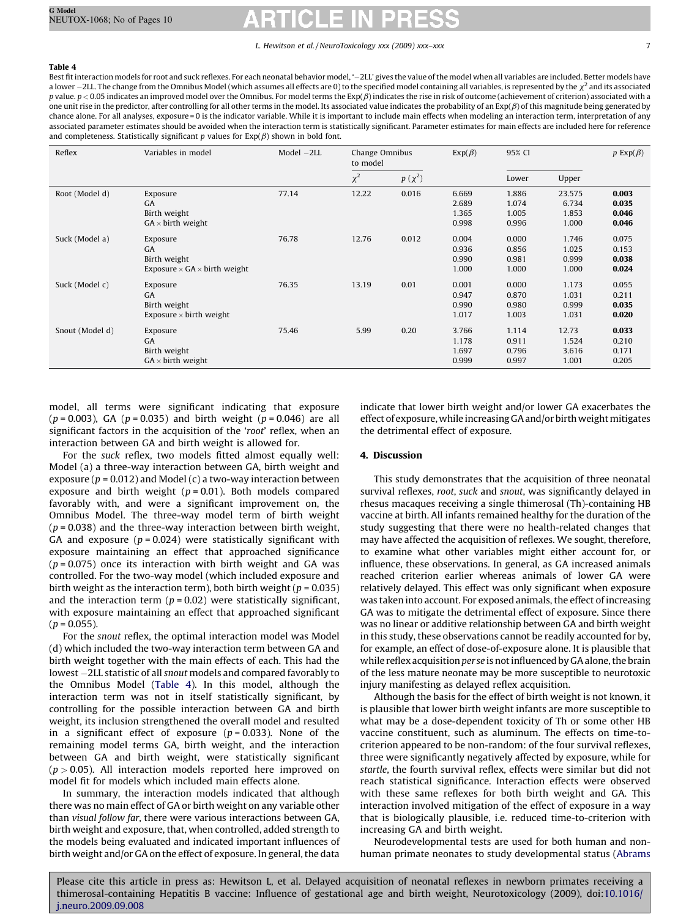## <span id="page-6-0"></span>Table 4

Best fit interaction models for root and suck reflexes. For each neonatal behavior model, '2LL' gives the value of the model when all variables are included. Better models have a lower  $-2$ LL. The change from the Omnibus Model (which assumes all effects are 0) to the specified model containing all variables, is represented by the  $\chi^2$  and its associated p value.  $p < 0.05$  indicates an improved model over the Omnibus. For model terms the Exp( $\beta$ ) indicates the rise in risk of outcome (achievement of criterion) associated with a one unit rise in the predictor, after controlling for all other terms in the model. Its associated value indicates the probability of an  $Exp(\beta)$  of this magnitude being generated by chance alone. For all analyses, exposure = 0 is the indicator variable. While it is important to include main effects when modeling an interaction term, interpretation of any associated parameter estimates should be avoided when the interaction term is statistically significant. Parameter estimates for main effects are included here for reference and completeness. Statistically significant p values for  $Exp(\beta)$  shown in bold font.

| Reflex          | Variables in model                                                                  | Model $-2LL$ | Change Omnibus<br>to model |             |                                  |                                  | $Exp(\beta)$                      | 95% CI                           |  | $p \operatorname{Exp}(\beta)$ |
|-----------------|-------------------------------------------------------------------------------------|--------------|----------------------------|-------------|----------------------------------|----------------------------------|-----------------------------------|----------------------------------|--|-------------------------------|
|                 |                                                                                     |              | $\chi^2$                   | $p(\chi^2)$ |                                  | Lower                            | Upper                             |                                  |  |                               |
| Root (Model d)  | Exposure<br><b>GA</b><br>Birth weight<br>$GA \times birth$ weight                   | 77.14        | 12.22                      | 0.016       | 6.669<br>2.689<br>1.365<br>0.998 | 1.886<br>1.074<br>1.005<br>0.996 | 23.575<br>6.734<br>1.853<br>1.000 | 0.003<br>0.035<br>0.046<br>0.046 |  |                               |
| Suck (Model a)  | Exposure<br><b>GA</b><br>Birth weight<br>Exposure $\times$ GA $\times$ birth weight | 76.78        | 12.76                      | 0.012       | 0.004<br>0.936<br>0.990<br>1.000 | 0.000<br>0.856<br>0.981<br>1.000 | 1.746<br>1.025<br>0.999<br>1.000  | 0.075<br>0.153<br>0.038<br>0.024 |  |                               |
| Suck (Model c)  | Exposure<br><b>GA</b><br>Birth weight<br>Exposure $\times$ birth weight             | 76.35        | 13.19                      | 0.01        | 0.001<br>0.947<br>0.990<br>1.017 | 0.000<br>0.870<br>0.980<br>1.003 | 1.173<br>1.031<br>0.999<br>1.031  | 0.055<br>0.211<br>0.035<br>0.020 |  |                               |
| Snout (Model d) | Exposure<br><b>GA</b><br>Birth weight<br>$GA \times birth$ weight                   | 75.46        | 5.99                       | 0.20        | 3.766<br>1.178<br>1.697<br>0.999 | 1.114<br>0.911<br>0.796<br>0.997 | 12.73<br>1.524<br>3.616<br>1.001  | 0.033<br>0.210<br>0.171<br>0.205 |  |                               |

model, all terms were significant indicating that exposure  $(p = 0.003)$ , GA  $(p = 0.035)$  and birth weight  $(p = 0.046)$  are all significant factors in the acquisition of the 'root' reflex, when an interaction between GA and birth weight is allowed for.

For the suck reflex, two models fitted almost equally well: Model (a) a three-way interaction between GA, birth weight and exposure ( $p = 0.012$ ) and Model (c) a two-way interaction between exposure and birth weight ( $p = 0.01$ ). Both models compared favorably with, and were a significant improvement on, the Omnibus Model. The three-way model term of birth weight  $(p = 0.038)$  and the three-way interaction between birth weight, GA and exposure ( $p = 0.024$ ) were statistically significant with exposure maintaining an effect that approached significance  $(p = 0.075)$  once its interaction with birth weight and GA was controlled. For the two-way model (which included exposure and birth weight as the interaction term), both birth weight ( $p = 0.035$ ) and the interaction term ( $p = 0.02$ ) were statistically significant, with exposure maintaining an effect that approached significant  $(p = 0.055)$ .

For the snout reflex, the optimal interaction model was Model (d) which included the two-way interaction term between GA and birth weight together with the main effects of each. This had the lowest -2LL statistic of all snout models and compared favorably to the Omnibus Model (Table 4). In this model, although the interaction term was not in itself statistically significant, by controlling for the possible interaction between GA and birth weight, its inclusion strengthened the overall model and resulted in a significant effect of exposure ( $p = 0.033$ ). None of the remaining model terms GA, birth weight, and the interaction between GA and birth weight, were statistically significant  $(p > 0.05)$ . All interaction models reported here improved on model fit for models which included main effects alone.

In summary, the interaction models indicated that although there was no main effect of GA or birth weight on any variable other than visual follow far, there were various interactions between GA, birth weight and exposure, that, when controlled, added strength to the models being evaluated and indicated important influences of birth weight and/or GA on the effect of exposure. In general, the data

indicate that lower birth weight and/or lower GA exacerbates the effect of exposure, while increasing GA and/or birth weight mitigates the detrimental effect of exposure.

## 4. Discussion

This study demonstrates that the acquisition of three neonatal survival reflexes, root, suck and snout, was significantly delayed in rhesus macaques receiving a single thimerosal (Th)-containing HB vaccine at birth. All infants remained healthy for the duration of the study suggesting that there were no health-related changes that may have affected the acquisition of reflexes. We sought, therefore, to examine what other variables might either account for, or influence, these observations. In general, as GA increased animals reached criterion earlier whereas animals of lower GA were relatively delayed. This effect was only significant when exposure was taken into account. For exposed animals, the effect of increasing GA was to mitigate the detrimental effect of exposure. Since there was no linear or additive relationship between GA and birth weight in this study, these observations cannot be readily accounted for by, for example, an effect of dose-of-exposure alone. It is plausible that while reflex acquisition per se is not influenced by GA alone, the brain of the less mature neonate may be more susceptible to neurotoxic injury manifesting as delayed reflex acquisition.

Although the basis for the effect of birth weight is not known, it is plausible that lower birth weight infants are more susceptible to what may be a dose-dependent toxicity of Th or some other HB vaccine constituent, such as aluminum. The effects on time-tocriterion appeared to be non-random: of the four survival reflexes, three were significantly negatively affected by exposure, while for startle, the fourth survival reflex, effects were similar but did not reach statistical significance. Interaction effects were observed with these same reflexes for both birth weight and GA. This interaction involved mitigation of the effect of exposure in a way that is biologically plausible, i.e. reduced time-to-criterion with increasing GA and birth weight.

Neurodevelopmental tests are used for both human and nonhuman primate neonates to study developmental status [\(Abrams](#page-8-0)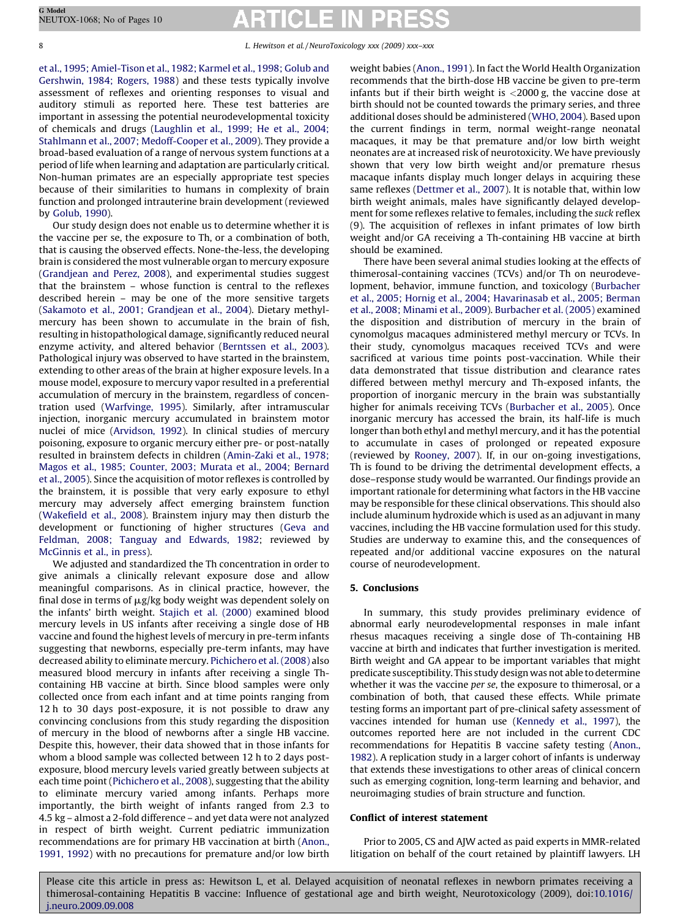[et al., 1995; Amiel-Tison et al., 1982; Karmel et al., 1998; Golub and](#page-8-0) [Gershwin, 1984; Rogers, 1988\)](#page-8-0) and these tests typically involve assessment of reflexes and orienting responses to visual and auditory stimuli as reported here. These test batteries are important in assessing the potential neurodevelopmental toxicity of chemicals and drugs [\(Laughlin et al., 1999; He et al., 2004;](#page-8-0) [Stahlmann et al., 2007; Medoff-Cooper et al., 2009](#page-8-0)). They provide a broad-based evaluation of a range of nervous system functions at a period of life when learning and adaptation are particularly critical. Non-human primates are an especially appropriate test species because of their similarities to humans in complexity of brain function and prolonged intrauterine brain development (reviewed by [Golub, 1990\)](#page-8-0).

Our study design does not enable us to determine whether it is the vaccine per se, the exposure to Th, or a combination of both, that is causing the observed effects. None-the-less, the developing brain is considered the most vulnerable organ to mercury exposure ([Grandjean and Perez, 2008\)](#page-8-0), and experimental studies suggest that the brainstem – whose function is central to the reflexes described herein – may be one of the more sensitive targets ([Sakamoto et al., 2001; Grandjean et al., 2004\)](#page-9-0). Dietary methylmercury has been shown to accumulate in the brain of fish, resulting in histopathological damage, significantly reduced neural enzyme activity, and altered behavior ([Berntssen et al., 2003\)](#page-8-0). Pathological injury was observed to have started in the brainstem, extending to other areas of the brain at higher exposure levels. In a mouse model, exposure to mercury vapor resulted in a preferential accumulation of mercury in the brainstem, regardless of concentration used ([Warfvinge, 1995\)](#page-9-0). Similarly, after intramuscular injection, inorganic mercury accumulated in brainstem motor nuclei of mice [\(Arvidson, 1992\)](#page-8-0). In clinical studies of mercury poisoning, exposure to organic mercury either pre- or post-natally resulted in brainstem defects in children [\(Amin-Zaki et al., 1978;](#page-8-0) [Magos et al., 1985; Counter, 2003; Murata et al., 2004; Bernard](#page-8-0) [et al., 2005](#page-8-0)). Since the acquisition of motor reflexes is controlled by the brainstem, it is possible that very early exposure to ethyl mercury may adversely affect emerging brainstem function ([Wakefield et al., 2008](#page-9-0)). Brainstem injury may then disturb the development or functioning of higher structures ([Geva and](#page-8-0) [Feldman, 2008; Tanguay and Edwards, 1982](#page-8-0); reviewed by [McGinnis et al., in press\)](#page-8-0).

We adjusted and standardized the Th concentration in order to give animals a clinically relevant exposure dose and allow meaningful comparisons. As in clinical practice, however, the final dose in terms of  $\mu$ g/kg body weight was dependent solely on the infants' birth weight. [Stajich et al. \(2000\)](#page-9-0) examined blood mercury levels in US infants after receiving a single dose of HB vaccine and found the highest levels of mercury in pre-term infants suggesting that newborns, especially pre-term infants, may have decreased ability to eliminate mercury. [Pichichero et al. \(2008\)](#page-8-0) also measured blood mercury in infants after receiving a single Thcontaining HB vaccine at birth. Since blood samples were only collected once from each infant and at time points ranging from 12 h to 30 days post-exposure, it is not possible to draw any convincing conclusions from this study regarding the disposition of mercury in the blood of newborns after a single HB vaccine. Despite this, however, their data showed that in those infants for whom a blood sample was collected between 12 h to 2 days postexposure, blood mercury levels varied greatly between subjects at each time point [\(Pichichero et al., 2008\)](#page-8-0), suggesting that the ability to eliminate mercury varied among infants. Perhaps more importantly, the birth weight of infants ranged from 2.3 to 4.5 kg – almost a 2-fold difference – and yet data were not analyzed in respect of birth weight. Current pediatric immunization recommendations are for primary HB vaccination at birth ([Anon.,](#page-8-0) [1991, 1992](#page-8-0)) with no precautions for premature and/or low birth weight babies [\(Anon., 1991](#page-8-0)). In fact the World Health Organization recommends that the birth-dose HB vaccine be given to pre-term infants but if their birth weight is  $\langle$ 2000 g, the vaccine dose at birth should not be counted towards the primary series, and three additional doses should be administered ([WHO, 2004](#page-9-0)). Based upon the current findings in term, normal weight-range neonatal macaques, it may be that premature and/or low birth weight neonates are at increased risk of neurotoxicity. We have previously shown that very low birth weight and/or premature rhesus macaque infants display much longer delays in acquiring these same reflexes [\(Dettmer et al., 2007\)](#page-8-0). It is notable that, within low birth weight animals, males have significantly delayed development for some reflexes relative to females, including the suck reflex (9). The acquisition of reflexes in infant primates of low birth weight and/or GA receiving a Th-containing HB vaccine at birth should be examined.

There have been several animal studies looking at the effects of thimerosal-containing vaccines (TCVs) and/or Th on neurodevelopment, behavior, immune function, and toxicology ([Burbacher](#page-8-0) [et al., 2005; Hornig et al., 2004; Havarinasab et al., 2005; Berman](#page-8-0) [et al., 2008; Minami et al., 2009](#page-8-0)). [Burbacher et al. \(2005\)](#page-8-0) examined the disposition and distribution of mercury in the brain of cynomolgus macaques administered methyl mercury or TCVs. In their study, cynomolgus macaques received TCVs and were sacrificed at various time points post-vaccination. While their data demonstrated that tissue distribution and clearance rates differed between methyl mercury and Th-exposed infants, the proportion of inorganic mercury in the brain was substantially higher for animals receiving TCVs ([Burbacher et al., 2005](#page-8-0)). Once inorganic mercury has accessed the brain, its half-life is much longer than both ethyl and methyl mercury, and it has the potential to accumulate in cases of prolonged or repeated exposure (reviewed by [Rooney, 2007\)](#page-8-0). If, in our on-going investigations, Th is found to be driving the detrimental development effects, a dose–response study would be warranted. Our findings provide an important rationale for determining what factors in the HB vaccine may be responsible for these clinical observations. This should also include aluminum hydroxide which is used as an adjuvant in many vaccines, including the HB vaccine formulation used for this study. Studies are underway to examine this, and the consequences of repeated and/or additional vaccine exposures on the natural course of neurodevelopment.

### 5. Conclusions

In summary, this study provides preliminary evidence of abnormal early neurodevelopmental responses in male infant rhesus macaques receiving a single dose of Th-containing HB vaccine at birth and indicates that further investigation is merited. Birth weight and GA appear to be important variables that might predicate susceptibility. This study design was not able to determine whether it was the vaccine per se, the exposure to thimerosal, or a combination of both, that caused these effects. While primate testing forms an important part of pre-clinical safety assessment of vaccines intended for human use ([Kennedy et al., 1997\)](#page-8-0), the outcomes reported here are not included in the current CDC recommendations for Hepatitis B vaccine safety testing [\(Anon.,](#page-8-0) [1982\)](#page-8-0). A replication study in a larger cohort of infants is underway that extends these investigations to other areas of clinical concern such as emerging cognition, long-term learning and behavior, and neuroimaging studies of brain structure and function.

### Conflict of interest statement

Prior to 2005, CS and AJW acted as paid experts in MMR-related litigation on behalf of the court retained by plaintiff lawyers. LH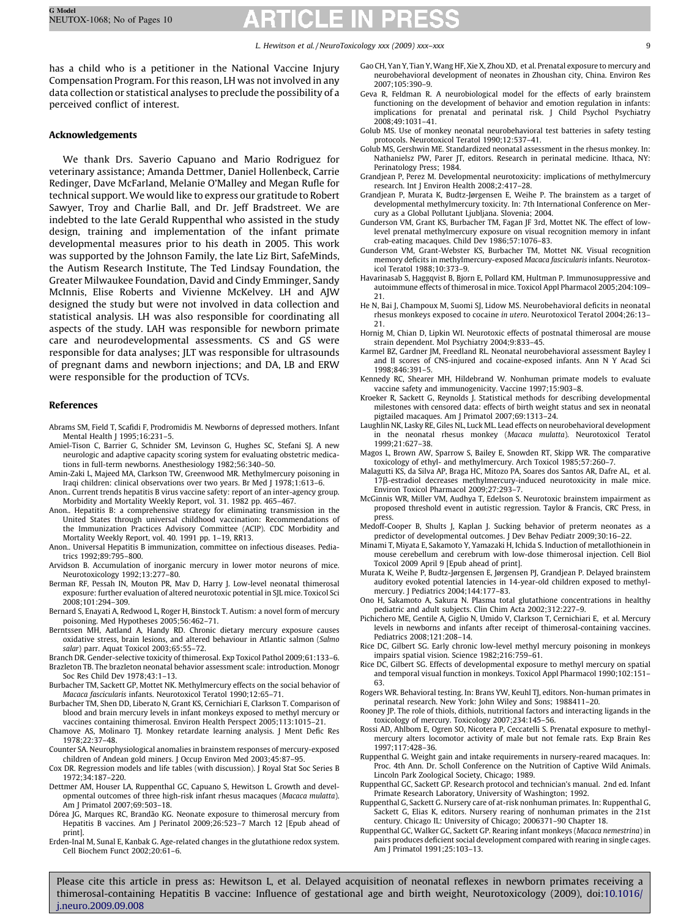<span id="page-8-0"></span>has a child who is a petitioner in the National Vaccine Injury Compensation Program. For this reason, LH was not involved in any data collection or statistical analyses to preclude the possibility of a perceived conflict of interest.

## Acknowledgements

We thank Drs. Saverio Capuano and Mario Rodriguez for veterinary assistance; Amanda Dettmer, Daniel Hollenbeck, Carrie Redinger, Dave McFarland, Melanie O'Malley and Megan Rufle for technical support. We would like to express our gratitude to Robert Sawyer, Troy and Charlie Ball, and Dr. Jeff Bradstreet. We are indebted to the late Gerald Ruppenthal who assisted in the study design, training and implementation of the infant primate developmental measures prior to his death in 2005. This work was supported by the Johnson Family, the late Liz Birt, SafeMinds, the Autism Research Institute, The Ted Lindsay Foundation, the Greater Milwaukee Foundation, David and Cindy Emminger, Sandy McInnis, Elise Roberts and Vivienne McKelvey. LH and AJW designed the study but were not involved in data collection and statistical analysis. LH was also responsible for coordinating all aspects of the study. LAH was responsible for newborn primate care and neurodevelopmental assessments. CS and GS were responsible for data analyses; JLT was responsible for ultrasounds of pregnant dams and newborn injections; and DA, LB and ERW were responsible for the production of TCVs.

### References

- Abrams SM, Field T, Scafidi F, Prodromidis M. Newborns of depressed mothers. Infant Mental Health | 1995;16:231-5
- Amiel-Tison C, Barrier G, Schnider SM, Levinson G, Hughes SC, Stefani SJ. A new neurologic and adaptive capacity scoring system for evaluating obstetric medications in full-term newborns. Anesthesiology 1982;56:340–50.
- Amin-Zaki L, Majeed MA, Clarkson TW, Greenwood MR. Methylmercury poisoning in Iraqi children: clinical observations over two years. Br Med J 1978;1:613–6.
- Anon.. Current trends hepatitis B virus vaccine safety: report of an inter-agency group. Morbidity and Mortality Weekly Report, vol. 31. 1982 pp. 465–467.
- Anon.. Hepatitis B: a comprehensive strategy for eliminating transmission in the United States through universal childhood vaccination: Recommendations of the Immunization Practices Advisory Committee (ACIP). CDC Morbidity and Mortality Weekly Report, vol. 40. 1991 pp. 1–19, RR13.
- Anon.. Universal Hepatitis B immunization, committee on infectious diseases. Pediatrics 1992;89:795–800.
- Arvidson B. Accumulation of inorganic mercury in lower motor neurons of mice. Neurotoxicology 1992;13:277–80.
- Berman RF, Pessah IN, Mouton PR, Mav D, Harry J. Low-level neonatal thimerosal exposure: further evaluation of altered neurotoxic potential in SJL mice. Toxicol Sci 2008;101:294–309.
- Bernard S, Enayati A, Redwood L, Roger H, Binstock T. Autism: a novel form of mercury poisoning. Med Hypotheses 2005;56:462–71.
- Berntssen MH, Aatland A, Handy RD. Chronic dietary mercury exposure causes oxidative stress, brain lesions, and altered behaviour in Atlantic salmon (Salmo salar) parr. Aquat Toxicol 2003;65:55–72.
- Branch DR. Gender-selective toxicity of thimerosal. Exp Toxicol Pathol 2009;61:133–6. Brazleton TB. The brazleton neonatal behavior assessment scale: introduction. Monogr Soc Res Child Dev 1978;43:1–13.
- Burbacher TM, Sackett GP, Mottet NK. Methylmercury effects on the social behavior of Macaca fascicularis infants. Neurotoxicol Teratol 1990;12:65–71.
- Burbacher TM, Shen DD, Liberato N, Grant KS, Cernichiari E, Clarkson T. Comparison of blood and brain mercury levels in infant monkeys exposed to methyl mercury or vaccines containing thimerosal. Environ Health Perspect 2005;113:1015–21.
- Chamove AS, Molinaro TJ. Monkey retardate learning analysis. J Ment Defic Res 1978;22:37–48.
- Counter SA. Neurophysiological anomalies in brainstem responses of mercury-exposed children of Andean gold miners. J Occup Environ Med 2003;45:87–95.
- Cox DR. Regression models and life tables (with discussion). J Royal Stat Soc Series B 1972;34:187–220.
- Dettmer AM, Houser LA, Ruppenthal GC, Capuano S, Hewitson L. Growth and developmental outcomes of three high-risk infant rhesus macaques (Macaca mulatta). Am J Primatol 2007;69:503–18.
- Dórea JG, Marques RC, Brandão KG. Neonate exposure to thimerosal mercury from Hepatitis B vaccines. Am J Perinatol 2009;26:523–7 March 12 [Epub ahead of print].
- Erden-Inal M, Sunal E, Kanbak G. Age-related changes in the glutathione redox system. Cell Biochem Funct 2002;20:61–6.
- Gao CH, Yan Y, Tian Y, Wang HF, Xie X, Zhou XD, et al. Prenatal exposure to mercury and neurobehavioral development of neonates in Zhoushan city, China. Environ Res 2007;105:390–9.
- Geva R, Feldman R. A neurobiological model for the effects of early brainstem functioning on the development of behavior and emotion regulation in infants: implications for prenatal and perinatal risk. J Child Psychol Psychiatry 2008;49:1031–41.
- Golub MS. Use of monkey neonatal neurobehavioral test batteries in safety testing protocols. Neurotoxicol Teratol 1990;12:537–41.
- Golub MS, Gershwin ME. Standardized neonatal assessment in the rhesus monkey. In: Nathanielsz PW, Parer JT, editors. Research in perinatal medicine. Ithaca, NY: Perinatology Press; 1984.
- Grandjean P, Perez M. Developmental neurotoxicity: implications of methylmercury research. Int J Environ Health 2008;2:417–28.
- Grandjean P, Murata K, Budtz-Jørgensen E, Weihe P. The brainstem as a target of developmental methylmercury toxicity. In: 7th International Conference on Mercury as a Global Pollutant Ljubljana. Slovenia; 2004.
- Gunderson VM, Grant KS, Burbacher TM, Fagan JF 3rd, Mottet NK. The effect of lowlevel prenatal methylmercury exposure on visual recognition memory in infant crab-eating macaques. Child Dev 1986;57:1076–83.
- Gunderson VM, Grant-Webster KS, Burbacher TM, Mottet NK. Visual recognition memory deficits in methylmercury-exposed Macaca fascicularis infants. Neurotoxicol Teratol 1988;10:373–9.
- Havarinasab S, Haggqvist B, Bjorn E, Pollard KM, Hultman P. Immunosuppressive and autoimmune effects of thimerosal in mice. Toxicol Appl Pharmacol 2005;204:109– 21.
- He N, Bai J, Champoux M, Suomi SJ, Lidow MS. Neurobehavioral deficits in neonatal rhesus monkeys exposed to cocaine in utero. Neurotoxicol Teratol 2004;26:13– 21.
- Hornig M, Chian D, Lipkin WI. Neurotoxic effects of postnatal thimerosal are mouse strain dependent. Mol Psychiatry 2004;9:833–45.
- Karmel BZ, Gardner JM, Freedland RL. Neonatal neurobehavioral assessment Bayley I and II scores of CNS-injured and cocaine-exposed infants. Ann N Y Acad Sci 1998;846:391–5.
- Kennedy RC, Shearer MH, Hildebrand W. Nonhuman primate models to evaluate vaccine safety and immunogenicity. Vaccine 1997;15:903–8.
- Kroeker R, Sackett G, Reynolds J. Statistical methods for describing developmental milestones with censored data: effects of birth weight status and sex in neonatal pigtailed macaques. Am J Primatol 2007;69:1313–24.
- Laughlin NK, Lasky RE, Giles NL, Luck ML. Lead effects on neurobehavioral development in the neonatal rhesus monkey (Macaca mulatta). Neurotoxicol Teratol 1999;21:627–38.
- Magos L, Brown AW, Sparrow S, Bailey E, Snowden RT, Skipp WR. The comparative toxicology of ethyl- and methylmercury. Arch Toxicol 1985;57:260–7.
- Malagutti KS, da Silva AP, Braga HC, Mitozo PA, Soares dos Santos AR, Dafre AL, et al. 17b-estradiol decreases methylmercury-induced neurotoxicity in male mice. Environ Toxicol Pharmacol 2009;27:293–7.
- McGinnis WR, Miller VM, Audhya T, Edelson S. Neurotoxic brainstem impairment as proposed threshold event in autistic regression. Taylor & Francis, CRC Press, in press.
- Medoff-Cooper B, Shults J, Kaplan J. Sucking behavior of preterm neonates as a predictor of developmental outcomes. J Dev Behav Pediatr 2009;30:16–22.
- Minami T, Miyata E, Sakamoto Y, Yamazaki H, Ichida S. Induction of metallothionein in mouse cerebellum and cerebrum with low-dose thimerosal injection. Cell Biol Toxicol 2009 April 9 [Epub ahead of print].
- Murata K, Weihe P, Budtz-Jørgensen E, Jørgensen PJ, Grandjean P. Delayed brainstem auditory evoked potential latencies in 14-year-old children exposed to methylmercury. J Pediatrics 2004;144:177–83.
- Ono H, Sakamoto A, Sakura N. Plasma total glutathione concentrations in healthy pediatric and adult subjects. Clin Chim Acta 2002;312:227–9.
- Pichichero ME, Gentile A, Giglio N, Umido V, Clarkson T, Cernichiari E, et al. Mercury levels in newborns and infants after receipt of thimerosal-containing vaccines. Pediatrics 2008;121:208–14.
- Rice DC, Gilbert SG. Early chronic low-level methyl mercury poisoning in monkeys impairs spatial vision. Science 1982;216:759–61.
- Rice DC, Gilbert SG. Effects of developmental exposure to methyl mercury on spatial and temporal visual function in monkeys. Toxicol Appl Pharmacol 1990;102:151– 63.
- Rogers WR. Behavioral testing. In: Brans YW, Keuhl TJ, editors. Non-human primates in perinatal research. New York: John Wiley and Sons; 1988411–20.
- Rooney JP. The role of thiols, dithiols, nutritional factors and interacting ligands in the toxicology of mercury. Toxicology 2007;234:145–56.
- Rossi AD, Ahlbom E, Ogren SO, Nicotera P, Ceccatelli S. Prenatal exposure to methylmercury alters locomotor activity of male but not female rats. Exp Brain Res 1997;117:428–36.
- Ruppenthal G. Weight gain and intake requirements in nursery-reared macaques. In: Proc. 4th Ann. Dr. Scholl Conference on the Nutrition of Captive Wild Animals. Lincoln Park Zoological Society, Chicago; 1989.
- Ruppenthal GC, Sackett GP. Research protocol and technician's manual. 2nd ed. Infant Primate Research Laboratory, University of Washington; 1992.
- Ruppenthal G, Sackett G. Nursery care of at-risk nonhuman primates. In: Ruppenthal G, Sackett G, Elias K, editors. Nursery rearing of nonhuman primates in the 21st century. Chicago IL: University of Chicago; 2006371–90 Chapter 18.
- Ruppenthal GC, Walker GC, Sackett GP. Rearing infant monkeys (Macaca nemestrina) in pairs produces deficient social development compared with rearing in single cages. Am J Primatol 1991;25:103–13.